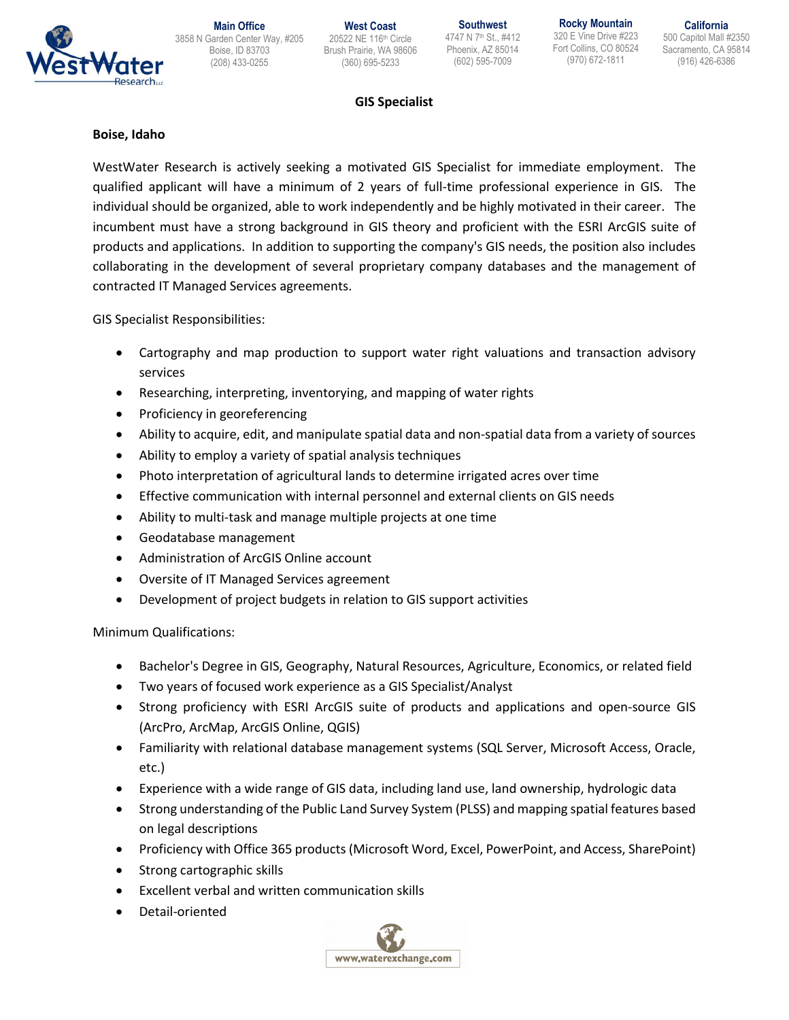

**Main Office** 3858 N Garden Center Way, #205 20522 NE 116th Circle Boise, ID 83703 (208) 433-0255

**West Coast** Brush Prairie, WA 98606 (360) 695-5233

**Southwest** 4747 N 7th St., #412 Phoenix, AZ 85014 (602) 595-7009

**Rocky Mountain** 320 E Vine Drive #223 Fort Collins, CO 80524 (970) 672-1811

**California** 500 Capitol Mall #2350 Sacramento, CA 95814 (916) 426-6386

### **GIS Specialist**

#### **Boise, Idaho**

WestWater Research is actively seeking a motivated GIS Specialist for immediate employment. The qualified applicant will have a minimum of 2 years of full-time professional experience in GIS. The individual should be organized, able to work independently and be highly motivated in their career. The incumbent must have a strong background in GIS theory and proficient with the ESRI ArcGIS suite of products and applications. In addition to supporting the company's GIS needs, the position also includes collaborating in the development of several proprietary company databases and the management of contracted IT Managed Services agreements.

GIS Specialist Responsibilities:

- Cartography and map production to support water right valuations and transaction advisory services
- Researching, interpreting, inventorying, and mapping of water rights
- Proficiency in georeferencing
- Ability to acquire, edit, and manipulate spatial data and non-spatial data from a variety of sources
- Ability to employ a variety of spatial analysis techniques
- Photo interpretation of agricultural lands to determine irrigated acres over time
- Effective communication with internal personnel and external clients on GIS needs
- Ability to multi-task and manage multiple projects at one time
- Geodatabase management
- Administration of ArcGIS Online account
- Oversite of IT Managed Services agreement
- Development of project budgets in relation to GIS support activities

Minimum Qualifications:

- Bachelor's Degree in GIS, Geography, Natural Resources, Agriculture, Economics, or related field
- Two years of focused work experience as a GIS Specialist/Analyst
- Strong proficiency with ESRI ArcGIS suite of products and applications and open-source GIS (ArcPro, ArcMap, ArcGIS Online, QGIS)
- Familiarity with relational database management systems (SQL Server, Microsoft Access, Oracle, etc.)
- Experience with a wide range of GIS data, including land use, land ownership, hydrologic data
- Strong understanding of the Public Land Survey System (PLSS) and mapping spatial features based on legal descriptions
- Proficiency with Office 365 products (Microsoft Word, Excel, PowerPoint, and Access, SharePoint)
- Strong cartographic skills
- Excellent verbal and written communication skills
- Detail-oriented